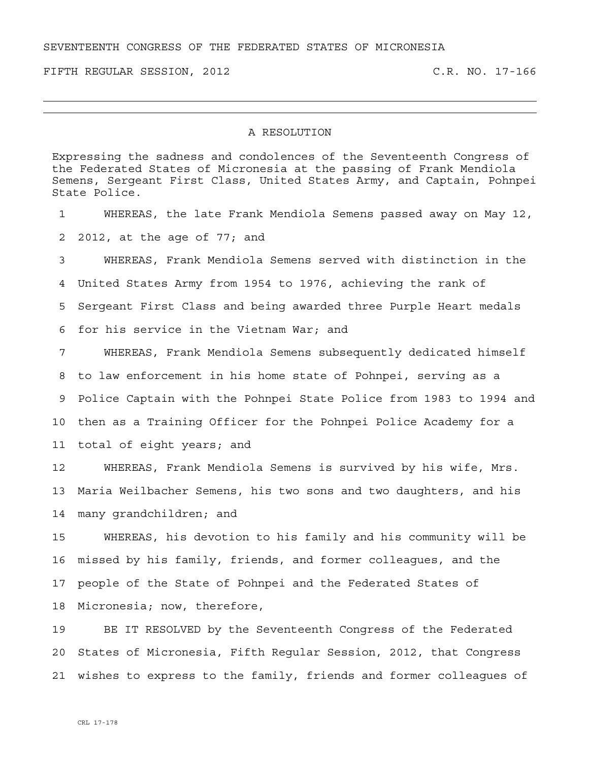SEVENTEENTH CONGRESS OF THE FEDERATED STATES OF MICRONESIA

FIFTH REGULAR SESSION, 2012 C.R. NO. 17-166

## A RESOLUTION

Expressing the sadness and condolences of the Seventeenth Congress of the Federated States of Micronesia at the passing of Frank Mendiola Semens, Sergeant First Class, United States Army, and Captain, Pohnpei State Police.

1 WHEREAS, the late Frank Mendiola Semens passed away on May 12, 2 2012, at the age of 77; and 3 WHEREAS, Frank Mendiola Semens served with distinction in the 4 United States Army from 1954 to 1976, achieving the rank of 5 Sergeant First Class and being awarded three Purple Heart medals 6 for his service in the Vietnam War; and 7 WHEREAS, Frank Mendiola Semens subsequently dedicated himself 8 to law enforcement in his home state of Pohnpei, serving as a 9 Police Captain with the Pohnpei State Police from 1983 to 1994 and 10 then as a Training Officer for the Pohnpei Police Academy for a 11 total of eight years; and

12 WHEREAS, Frank Mendiola Semens is survived by his wife, Mrs. 13 Maria Weilbacher Semens, his two sons and two daughters, and his 14 many grandchildren; and

15 WHEREAS, his devotion to his family and his community will be 16 missed by his family, friends, and former colleagues, and the 17 people of the State of Pohnpei and the Federated States of 18 Micronesia; now, therefore,

19 BE IT RESOLVED by the Seventeenth Congress of the Federated 20 States of Micronesia, Fifth Regular Session, 2012, that Congress 21 wishes to express to the family, friends and former colleagues of